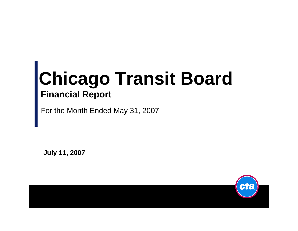# **Chicago Transit Board Financial Report**

For the Month Ended May 31, 2007

**July 11, 2007**

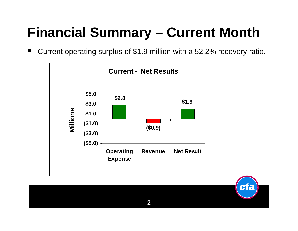## **Financial Summary - Current Month**

Current operating surplus of \$1.9 million with a 52.2% recovery ratio. w

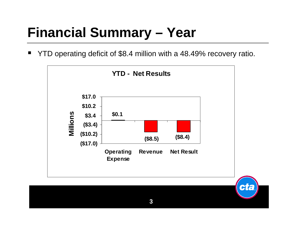#### **Financial Summary - Year**

YTD operating deficit of \$8.4 million with a 48.49% recovery ratio.

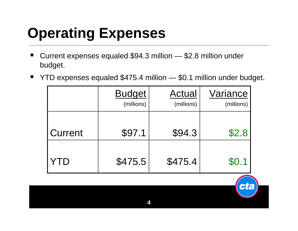# **Operating Expenses**

- × ■ Current expenses equaled \$94.3 million — \$2.8 million under budget.
- $\blacksquare$ ■ YTD expenses equaled \$475.4 million — \$0.1 million under budget.

|         | <b>Budget</b><br>(millions) | Actual<br>(millions) | Variance<br>(millions) |
|---------|-----------------------------|----------------------|------------------------|
| Current | \$97.1                      | \$94.3               | \$2.8                  |
|         | \$475.5                     | \$475.4              | \$0.1                  |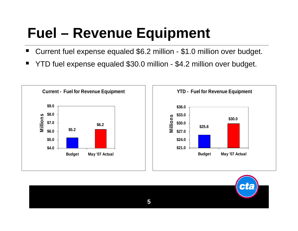# **Fuel – Revenue Equipment**

- H Current fuel expense equaled \$6.2 million - \$1.0 million over budget.
- ٠ YTD fuel expense equaled \$30.0 million - \$4.2 million over budget.



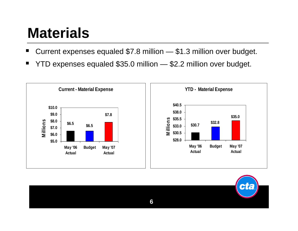## **Materials**

- Current expenses equaled \$7.8 million — \$1.3 million over budget.
- ٠ YTD expenses equaled \$35.0 million — \$2.2 million over budget.



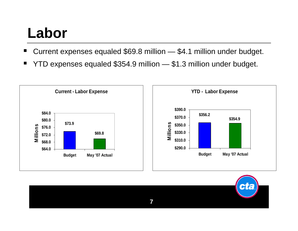## **Labor**

- ٠ Current expenses equaled \$69.8 million — \$4.1 million under budget.
- ٠ YTD expenses equaled \$354.9 million — \$1.3 million under budget.



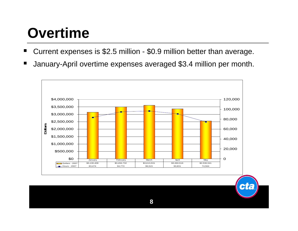## **Overtime**

- ٠ Current expenses is \$2.5 million - \$0.9 million better than average.
- ٠ January-April overtime expenses averaged \$3.4 million per month.



AF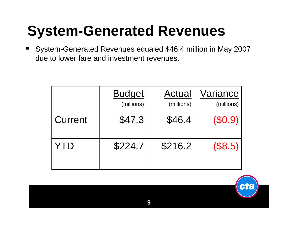#### **System-Generated Revenues**

٠ System-Generated Revenues equaled \$46.4 million in May 2007 due to lower fare and investment revenues.

|         | <b>Budget</b><br>(millions) | Actual<br>(millions) | Variance<br>(millions) |
|---------|-----------------------------|----------------------|------------------------|
| Current | \$47.3                      | \$46.4               | $(\$0.9)$              |
| YID     | \$224.7                     | \$216.2              | (\$8.5)                |

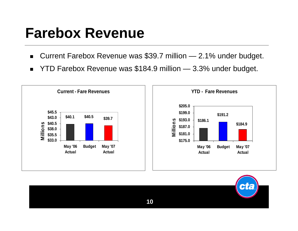#### **Farebox Revenue**

- Current Farebox Revenue was \$39.7 million 2.1% under budget.  $\blacksquare$
- YTD Farebox Revenue was \$184.9 million 3.3% under budget.  $\blacksquare$



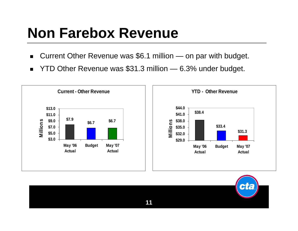## **Non Farebox Revenue**

- $\blacksquare$ Current Other Revenue was \$6.1 million — on par with budget.
- $\blacksquare$ YTD Other Revenue was \$31.3 million — 6.3% under budget.